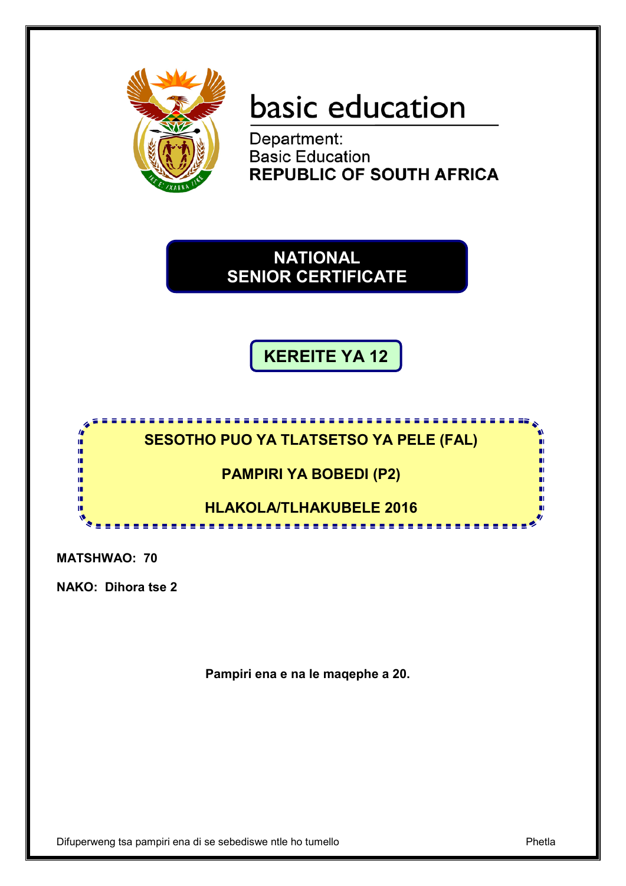

# basic education

Department: **Basic Education REPUBLIC OF SOUTH AFRICA** 

**NATIONAL SENIOR CERTIFICATE**

**KEREITE YA 12**



**MATSHWAO: 70**

**NAKO: Dihora tse 2**

**Pampiri ena e na le maqephe a 20.**

Difuperweng tsa pampiri ena di se sebediswe ntle ho tumello Phetla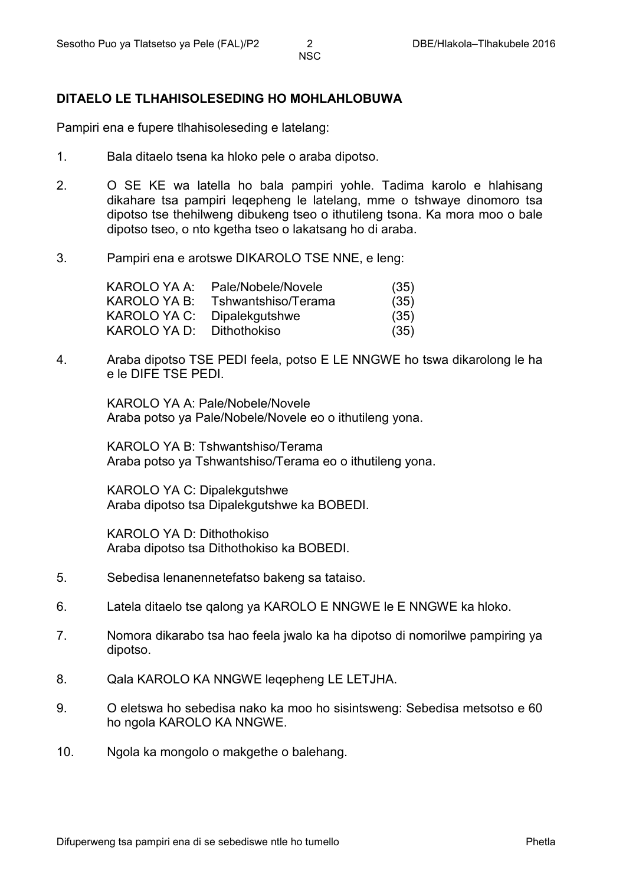#### **DITAELO LE TLHAHISOLESEDING HO MOHLAHLOBUWA**

Pampiri ena e fupere tlhahisoleseding e latelang:

- 1. Bala ditaelo tsena ka hloko pele o araba dipotso.
- 2. O SE KE wa latella ho bala pampiri yohle. Tadima karolo e hlahisang dikahare tsa pampiri leqepheng le latelang, mme o tshwaye dinomoro tsa dipotso tse thehilweng dibukeng tseo o ithutileng tsona. Ka mora moo o bale dipotso tseo, o nto kgetha tseo o lakatsang ho di araba.
- 3. Pampiri ena e arotswe DIKAROLO TSE NNE, e leng:

| Pale/Nobele/Novele  | (35) |
|---------------------|------|
| Tshwantshiso/Terama | (35) |
| Dipalekgutshwe      | (35) |
| Dithothokiso        | (35) |
|                     |      |

4. Araba dipotso TSE PEDI feela, potso E LE NNGWE ho tswa dikarolong le ha e le DIFE TSE PEDI.

> KAROLO YA A: Pale/Nobele/Novele Araba potso ya Pale/Nobele/Novele eo o ithutileng yona.

KAROLO YA B: Tshwantshiso/Terama Araba potso ya Tshwantshiso/Terama eo o ithutileng yona.

KAROLO YA C: Dipalekgutshwe Araba dipotso tsa Dipalekgutshwe ka BOBEDI.

KAROLO YA D: Dithothokiso Araba dipotso tsa Dithothokiso ka BOBEDI.

- 5. Sebedisa lenanennetefatso bakeng sa tataiso.
- 6. Latela ditaelo tse qalong ya KAROLO E NNGWE le E NNGWE ka hloko.
- 7. Nomora dikarabo tsa hao feela jwalo ka ha dipotso di nomorilwe pampiring ya dipotso.
- 8. Qala KAROLO KA NNGWE leqepheng LE LETJHA.
- 9. O eletswa ho sebedisa nako ka moo ho sisintsweng: Sebedisa metsotso e 60 ho ngola KAROLO KA NNGWE.
- 10. Ngola ka mongolo o makgethe o balehang.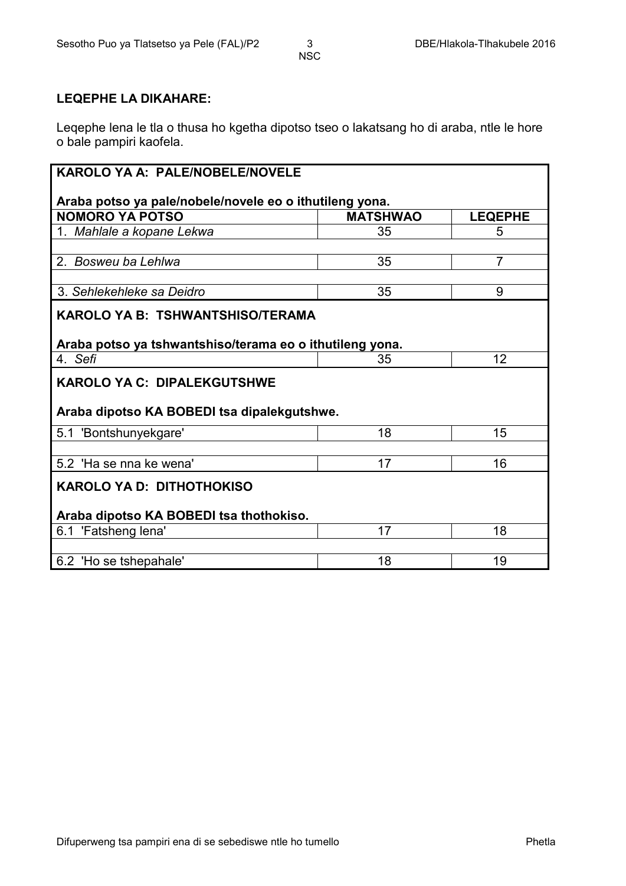#### **LEQEPHE LA DIKAHARE:**

Leqephe lena le tla o thusa ho kgetha dipotso tseo o lakatsang ho di araba, ntle le hore o bale pampiri kaofela.

#### **KAROLO YA A: PALE/NOBELE/NOVELE**

## **Araba potso ya pale/nobele/novele eo o ithutileng yona. NOMORO YA POTSO**<br>
1. Mahlale a kopane Lekwa<br>
1. Mahlale a kopane Lekwa<br>
35 35 5 1. Mahlale a kopane Lekwa **1. Mahlale a kopane Lekwa** 1. Album 35 2. Bosweu ba Lehlwa 2. **Bosweu ba Lehlwa** 2. **35** 3. Sehlekehleke sa Deidro **35** 9 **KAROLO YA B: TSHWANTSHISO/TERAMA Araba potso ya tshwantshiso/terama eo o ithutileng yona.** 4. Sefi 12 **KAROLO YA C: DIPALEKGUTSHWE Araba dipotso KA BOBEDI tsa dipalekgutshwe.** 5.1 'Bontshunyekgare' 18 18 15 5.2 'Ha se nna ke wena' 17 17 16 **KAROLO YA D: DITHOTHOKISO Araba dipotso KA BOBEDI tsa thothokiso.** 6.1 'Fatsheng lena' 17 18 6.2 'Ho se tshepahale' 18 19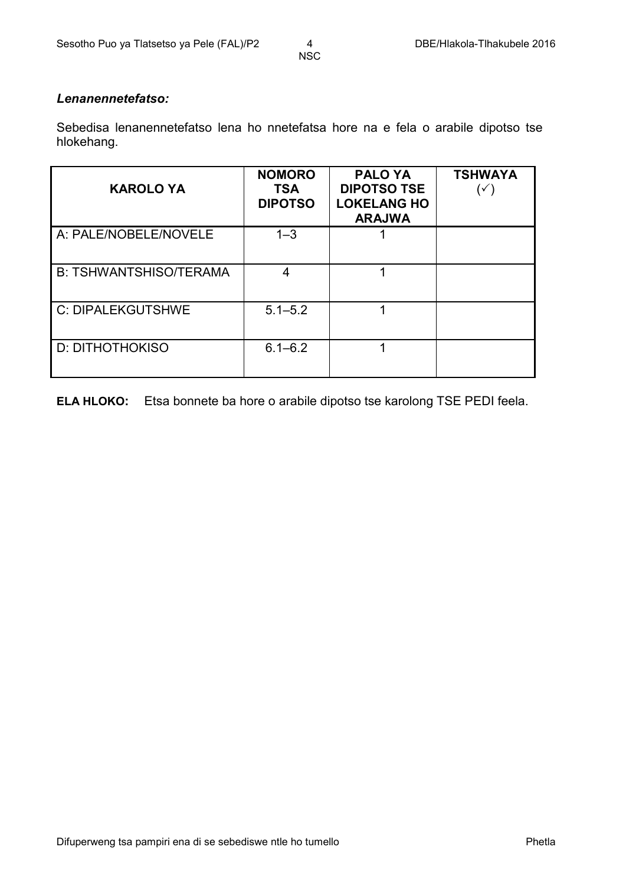#### *Lenanennetefatso:*

Sebedisa lenanennetefatso lena ho nnetefatsa hore na e fela o arabile dipotso tse hlokehang.

| <b>KAROLO YA</b>              | <b>NOMORO</b><br><b>TSA</b><br><b>DIPOTSO</b> | <b>PALO YA</b><br><b>DIPOTSO TSE</b><br><b>LOKELANG HO</b><br><b>ARAJWA</b> | <b>TSHWAYA</b><br>$(\checkmark)$ |
|-------------------------------|-----------------------------------------------|-----------------------------------------------------------------------------|----------------------------------|
| A: PALE/NOBELE/NOVELE         | $1 - 3$                                       |                                                                             |                                  |
| <b>B: TSHWANTSHISO/TERAMA</b> | 4                                             |                                                                             |                                  |
| <b>C: DIPALEKGUTSHWE</b>      | $5.1 - 5.2$                                   |                                                                             |                                  |
| <b>D: DITHOTHOKISO</b>        | $6.1 - 6.2$                                   |                                                                             |                                  |

**ELA HLOKO:** Etsa bonnete ba hore o arabile dipotso tse karolong TSE PEDI feela.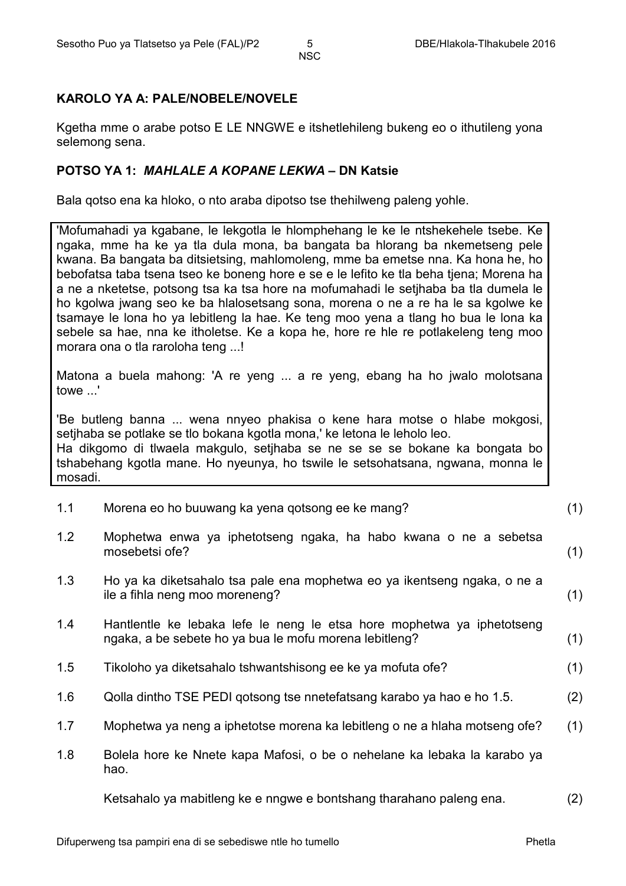### **KAROLO YA A: PALE/NOBELE/NOVELE**

Kgetha mme o arabe potso E LE NNGWE e itshetlehileng bukeng eo o ithutileng yona selemong sena.

### **POTSO YA 1:** *MAHLALE A KOPANE LEKWA* **– DN Katsie**

Bala qotso ena ka hloko, o nto araba dipotso tse thehilweng paleng yohle.

'Mofumahadi ya kgabane, le lekgotla le hlomphehang le ke le ntshekehele tsebe. Ke ngaka, mme ha ke ya tla dula mona, ba bangata ba hlorang ba nkemetseng pele kwana. Ba bangata ba ditsietsing, mahlomoleng, mme ba emetse nna. Ka hona he, ho bebofatsa taba tsena tseo ke boneng hore e se e le lefito ke tla beha tjena; Morena ha a ne a nketetse, potsong tsa ka tsa hore na mofumahadi le setjhaba ba tla dumela le ho kgolwa jwang seo ke ba hlalosetsang sona, morena o ne a re ha le sa kgolwe ke tsamaye le lona ho ya lebitleng la hae. Ke teng moo yena a tlang ho bua le lona ka sebele sa hae, nna ke itholetse. Ke a kopa he, hore re hle re potlakeleng teng moo morara ona o tla raroloha teng ...!

Matona a buela mahong: 'A re yeng ... a re yeng, ebang ha ho jwalo molotsana towe '

'Be butleng banna ... wena nnyeo phakisa o kene hara motse o hlabe mokgosi, setjhaba se potlake se tlo bokana kgotla mona,' ke letona le leholo leo. Ha dikgomo di tlwaela makgulo, setjhaba se ne se se se bokane ka bongata bo tshabehang kgotla mane. Ho nyeunya, ho tswile le setsohatsana, ngwana, monna le mosadi.

| 1.1 | Morena eo ho buuwang ka yena qotsong ee ke mang? |  |
|-----|--------------------------------------------------|--|
|-----|--------------------------------------------------|--|

- 1.2 Mophetwa enwa ya iphetotseng ngaka, ha habo kwana o ne a sebetsa mosebetsi ofe? (1)
- 1.3 Ho ya ka diketsahalo tsa pale ena mophetwa eo ya ikentseng ngaka, o ne a ile a fihla neng moo moreneng? (1)
- 1.4 Hantlentle ke lebaka lefe le neng le etsa hore mophetwa ya iphetotseng ngaka, a be sebete ho ya bua le mofu morena lebitleng? (1)
- 1.5 Tikoloho ya diketsahalo tshwantshisong ee ke ya mofuta ofe? (1)
- 1.6 Qolla dintho TSE PEDI qotsong tse nnetefatsang karabo ya hao e ho 1.5. (2)
- 1.7 Mophetwa ya neng a iphetotse morena ka lebitleng o ne a hlaha motseng ofe? (1)
- 1.8 Bolela hore ke Nnete kapa Mafosi, o be o nehelane ka lebaka la karabo ya hao.

Ketsahalo ya mabitleng ke e nngwe e bontshang tharahano paleng ena. (2)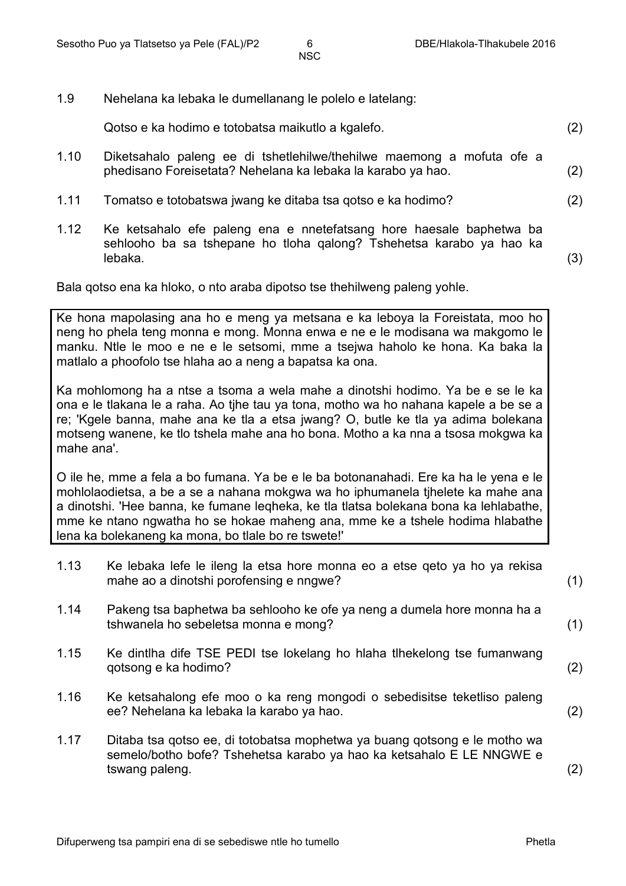1.9 Nehelana ka lebaka le dumellanang le polelo e latelang:

Qotso e ka hodimo e totobatsa maikutlo a kgalefo. (2)

- 1.10 Diketsahalo paleng ee di tshetlehilwe/thehilwe maemong a mofuta ofe a phedisano Foreisetata? Nehelana ka lebaka la karabo ya hao. (2)
- 1.11 Tomatso e totobatswa jwang ke ditaba tsa qotso e ka hodimo? (2)
- 1.12 Ke ketsahalo efe paleng ena e nnetefatsang hore haesale baphetwa ba sehlooho ba sa tshepane ho tloha qalong? Tshehetsa karabo ya hao ka lebaka. (3)

Bala qotso ena ka hloko, o nto araba dipotso tse thehilweng paleng yohle.

Ke hona mapolasing ana ho e meng ya metsana e ka leboya la Foreistata, moo ho neng ho phela teng monna e mong. Monna enwa e ne e le modisana wa makgomo le manku. Ntle le moo e ne e le setsomi, mme a tsejwa haholo ke hona. Ka baka la matlalo a phoofolo tse hlaha ao a neng a bapatsa ka ona.

Ka mohlomong ha a ntse a tsoma a wela mahe a dinotshi hodimo. Ya be e se le ka ona e le tlakana le a raha. Ao tjhe tau ya tona, motho wa ho nahana kapele a be se a re; 'Kgele banna, mahe ana ke tla a etsa jwang? O, butle ke tla ya adima bolekana motseng wanene, ke tlo tshela mahe ana ho bona. Motho a ka nna a tsosa mokgwa ka mahe ana'.

O ile he, mme a fela a bo fumana. Ya be e le ba botonanahadi. Ere ka ha le yena e le mohlolaodietsa, a be a se a nahana mokgwa wa ho iphumanela tjhelete ka mahe ana a dinotshi. 'Hee banna, ke fumane leqheka, ke tla tlatsa bolekana bona ka lehlabathe, mme ke ntano ngwatha ho se hokae maheng ana, mme ke a tshele hodima hlabathe lena ka bolekaneng ka mona, bo tlale bo re tswete!'

- 1.13 Ke lebaka lefe le ileng la etsa hore monna eo a etse qeto ya ho ya rekisa mahe ao a dinotshi porofensing e nngwe? (1)
- 1.14 Pakeng tsa baphetwa ba sehlooho ke ofe ya neng a dumela hore monna ha a tshwanela ho sebeletsa monna e mong? (1)
- 1.15 Ke dintlha dife TSE PEDI tse lokelang ho hlaha tlhekelong tse fumanwang qotsong e ka hodimo? (2)
- 1.16 Ke ketsahalong efe moo o ka reng mongodi o sebedisitse teketliso paleng ee? Nehelana ka lebaka la karabo ya hao. (2)
- 1.17 Ditaba tsa qotso ee, di totobatsa mophetwa ya buang qotsong e le motho wa semelo/botho bofe? Tshehetsa karabo ya hao ka ketsahalo E LE NNGWE e tswang paleng. (2)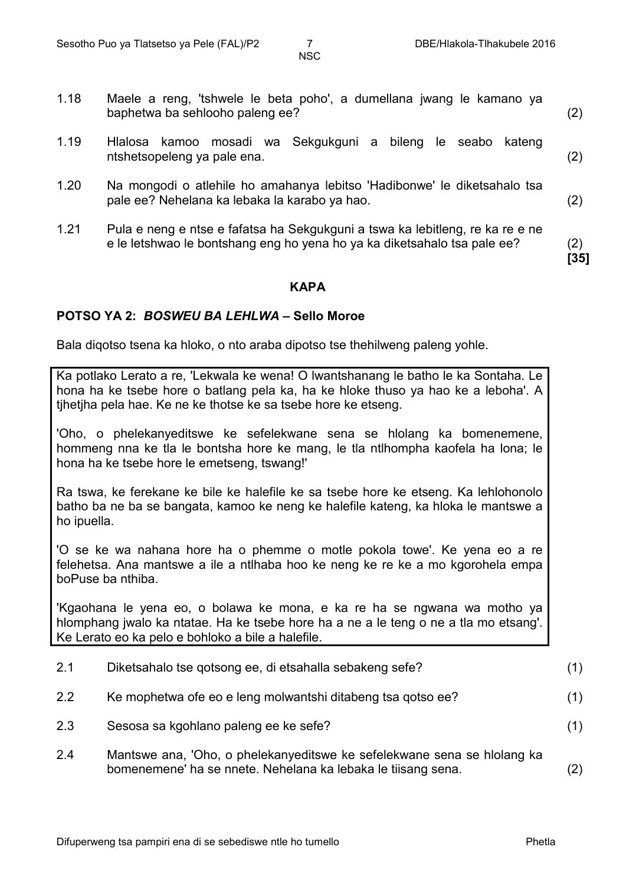**[35]**

NSC

- 1.18 Maele a reng, 'tshwele le beta poho', a dumellana jwang le kamano ya baphetwa ba sehlooho paleng ee? (2)
- 1.19 Hlalosa kamoo mosadi wa Sekgukguni a bileng le seabo kateng ntshetsopeleng ya pale ena. (2)
- 1.20 Na mongodi o atlehile ho amahanya lebitso 'Hadibonwe' le diketsahalo tsa pale ee? Nehelana ka lebaka la karabo ya hao. (2)
- 1.21 Pula e neng e ntse e fafatsa ha Sekgukguni a tswa ka lebitleng, re ka re e ne e le letshwao le bontshang eng ho yena ho ya ka diketsahalo tsa pale ee? (2)

#### **KAPA**

#### **POTSO YA 2:** *BOSWEU BA LEHLWA* **– Sello Moroe**

Bala diqotso tsena ka hloko, o nto araba dipotso tse thehilweng paleng yohle.

Ka potlako Lerato a re, 'Lekwala ke wena! O lwantshanang le batho le ka Sontaha. Le hona ha ke tsebe hore o batlang pela ka, ha ke hloke thuso ya hao ke a leboha'. A tjhetjha pela hae. Ke ne ke thotse ke sa tsebe hore ke etseng.

'Oho, o phelekanyeditswe ke sefelekwane sena se hlolang ka bomenemene, hommeng nna ke tla le bontsha hore ke mang, le tla ntlhompha kaofela ha lona; le hona ha ke tsebe hore le emetseng, tswang!'

Ra tswa, ke ferekane ke bile ke halefile ke sa tsebe hore ke etseng. Ka lehlohonolo batho ba ne ba se bangata, kamoo ke neng ke halefile kateng, ka hloka le mantswe a ho ipuella.

'O se ke wa nahana hore ha o phemme o motle pokola towe'. Ke yena eo a re felehetsa. Ana mantswe a ile a ntlhaba hoo ke neng ke re ke a mo kgorohela empa boPuse ba nthiba.

'Kgaohana le yena eo, o bolawa ke mona, e ka re ha se ngwana wa motho ya hlomphang jwalo ka ntatae. Ha ke tsebe hore ha a ne a le teng o ne a tla mo etsang'. Ke Lerato eo ka pelo e bohloko a bile a halefile.

- 2.1 Diketsahalo tse qotsong ee, di etsahalla sebakeng sefe? (1)
- 2.2 Ke mophetwa ofe eo e leng molwantshi ditabeng tsa qotso ee? (1)
- 2.3 Sesosa sa kgohlano paleng ee ke sefe? (1)
- 2.4 Mantswe ana, 'Oho, o phelekanyeditswe ke sefelekwane sena se hlolang ka bomenemene' ha se nnete. Nehelana ka lebaka le tiisang sena. (2)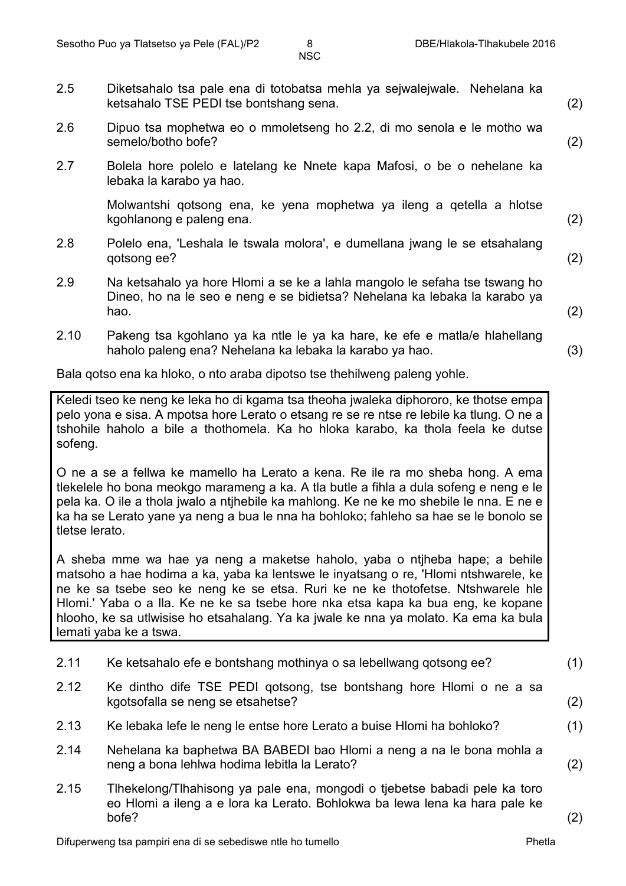- 2.5 Diketsahalo tsa pale ena di totobatsa mehla ya sejwalejwale. Nehelana ka ketsahalo TSE PEDI tse bontshang sena. (2)
- 2.6 Dipuo tsa mophetwa eo o mmoletseng ho 2.2, di mo senola e le motho wa semelo/botho bofe? (2)
- 2.7 Bolela hore polelo e latelang ke Nnete kapa Mafosi, o be o nehelane ka lebaka la karabo ya hao.

Molwantshi qotsong ena, ke yena mophetwa ya ileng a qetella a hlotse kgohlanong e paleng ena. (2)

- 2.8 Polelo ena, 'Leshala le tswala molora', e dumellana jwang le se etsahalang qotsong ee? (2)
- 2.9 Na ketsahalo ya hore Hlomi a se ke a lahla mangolo le sefaha tse tswang ho Dineo, ho na le seo e neng e se bidietsa? Nehelana ka lebaka la karabo ya hao. (2)
- 2.10 Pakeng tsa kgohlano ya ka ntle le ya ka hare, ke efe e matla/e hlahellang haholo paleng ena? Nehelana ka lebaka la karabo ya hao. (3)

Bala qotso ena ka hloko, o nto araba dipotso tse thehilweng paleng yohle.

Keledi tseo ke neng ke leka ho di kgama tsa theoha jwaleka diphororo, ke thotse empa pelo yona e sisa. A mpotsa hore Lerato o etsang re se re ntse re lebile ka tlung. O ne a tshohile haholo a bile a thothomela. Ka ho hloka karabo, ka thola feela ke dutse sofeng.

O ne a se a fellwa ke mamello ha Lerato a kena. Re ile ra mo sheba hong. A ema tlekelele ho bona meokgo marameng a ka. A tla butle a fihla a dula sofeng e neng e le pela ka. O ile a thola jwalo a ntjhebile ka mahlong. Ke ne ke mo shebile le nna. E ne e ka ha se Lerato yane ya neng a bua le nna ha bohloko; fahleho sa hae se le bonolo se tletse lerato.

A sheba mme wa hae ya neng a maketse haholo, yaba o ntjheba hape; a behile matsoho a hae hodima a ka, yaba ka lentswe le inyatsang o re, 'Hlomi ntshwarele, ke ne ke sa tsebe seo ke neng ke se etsa. Ruri ke ne ke thotofetse. Ntshwarele hle Hlomi.' Yaba o a lla. Ke ne ke sa tsebe hore nka etsa kapa ka bua eng, ke kopane hlooho, ke sa utlwisise ho etsahalang. Ya ka jwale ke nna ya molato. Ka ema ka bula lemati yaba ke a tswa.

- 2.11 Ke ketsahalo efe e bontshang mothinya o sa lebellwang qotsong ee? (1)
- 2.12 Ke dintho dife TSE PEDI qotsong, tse bontshang hore Hlomi o ne a sa kgotsofalla se neng se etsahetse? (2)
- 2.13 Ke lebaka lefe le neng le entse hore Lerato a buise Hlomi ha bohloko? (1)
- 2.14 Nehelana ka baphetwa BA BABEDI bao Hlomi a neng a na le bona mohla a neng a bona lehlwa hodima lebitla la Lerato? (2)
- 2.15 Tlhekelong/Tlhahisong ya pale ena, mongodi o tjebetse babadi pele ka toro eo Hlomi a ileng a e lora ka Lerato. Bohlokwa ba lewa lena ka hara pale ke bofe? (2)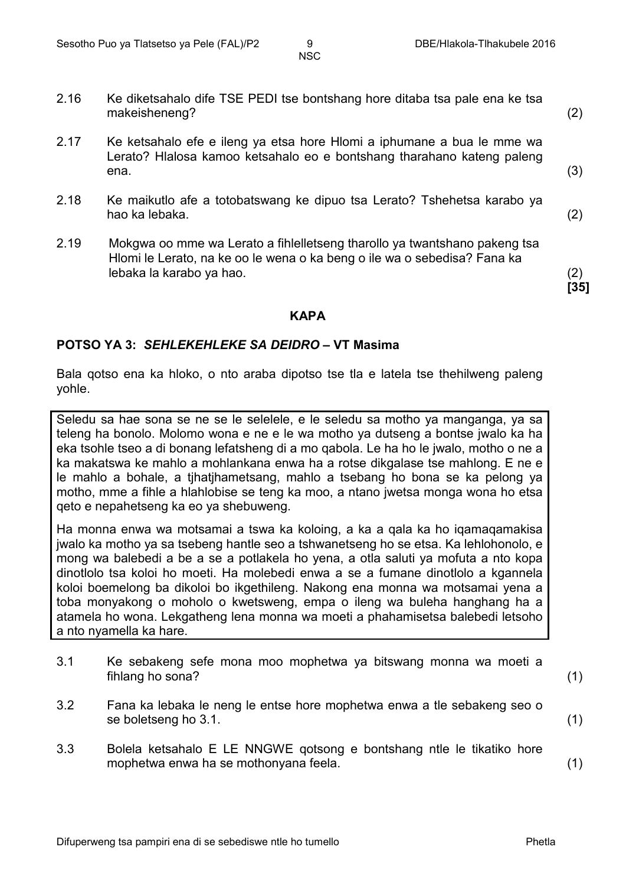**[35]**

NSC

- 2.16 Ke diketsahalo dife TSE PEDI tse bontshang hore ditaba tsa pale ena ke tsa makeisheneng? (2)
- 2.17 Ke ketsahalo efe e ileng ya etsa hore Hlomi a iphumane a bua le mme wa Lerato? Hlalosa kamoo ketsahalo eo e bontshang tharahano kateng paleng ena. (3)
- 2.18 Ke maikutlo afe a totobatswang ke dipuo tsa Lerato? Tshehetsa karabo ya hao ka lebaka. (2)
- 2.19 Mokgwa oo mme wa Lerato a fihlelletseng tharollo ya twantshano pakeng tsa Hlomi le Lerato, na ke oo le wena o ka beng o ile wa o sebedisa? Fana ka lebaka la karabo ya hao. (2)

#### **KAPA**

#### **POTSO YA 3:** *SEHLEKEHLEKE SA DEIDRO* **– VT Masima**

Bala qotso ena ka hloko, o nto araba dipotso tse tla e latela tse thehilweng paleng yohle.

Seledu sa hae sona se ne se le selelele, e le seledu sa motho ya manganga, ya sa teleng ha bonolo. Molomo wona e ne e le wa motho ya dutseng a bontse jwalo ka ha eka tsohle tseo a di bonang lefatsheng di a mo qabola. Le ha ho le jwalo, motho o ne a ka makatswa ke mahlo a mohlankana enwa ha a rotse dikgalase tse mahlong. E ne e le mahlo a bohale, a tjhatjhametsang, mahlo a tsebang ho bona se ka pelong ya motho, mme a fihle a hlahlobise se teng ka moo, a ntano jwetsa monga wona ho etsa qeto e nepahetseng ka eo ya shebuweng.

Ha monna enwa wa motsamai a tswa ka koloing, a ka a qala ka ho iqamaqamakisa jwalo ka motho ya sa tsebeng hantle seo a tshwanetseng ho se etsa. Ka lehlohonolo, e mong wa balebedi a be a se a potlakela ho yena, a otla saluti ya mofuta a nto kopa dinotlolo tsa koloi ho moeti. Ha molebedi enwa a se a fumane dinotlolo a kgannela koloi boemelong ba dikoloi bo ikgethileng. Nakong ena monna wa motsamai yena a toba monyakong o moholo o kwetsweng, empa o ileng wa buleha hanghang ha a atamela ho wona. Lekgatheng lena monna wa moeti a phahamisetsa balebedi letsoho a nto nyamella ka hare.

- 3.1 Ke sebakeng sefe mona moo mophetwa ya bitswang monna wa moeti a fihlang ho sona? (1)
- 3.2 Fana ka lebaka le neng le entse hore mophetwa enwa a tle sebakeng seo o se boletseng ho 3.1. (1)
- 3.3 Bolela ketsahalo E LE NNGWE qotsong e bontshang ntle le tikatiko hore mophetwa enwa ha se mothonyana feela. (1)

Difuperweng tsa pampiri ena di se sebediswe ntle ho tumello Phetla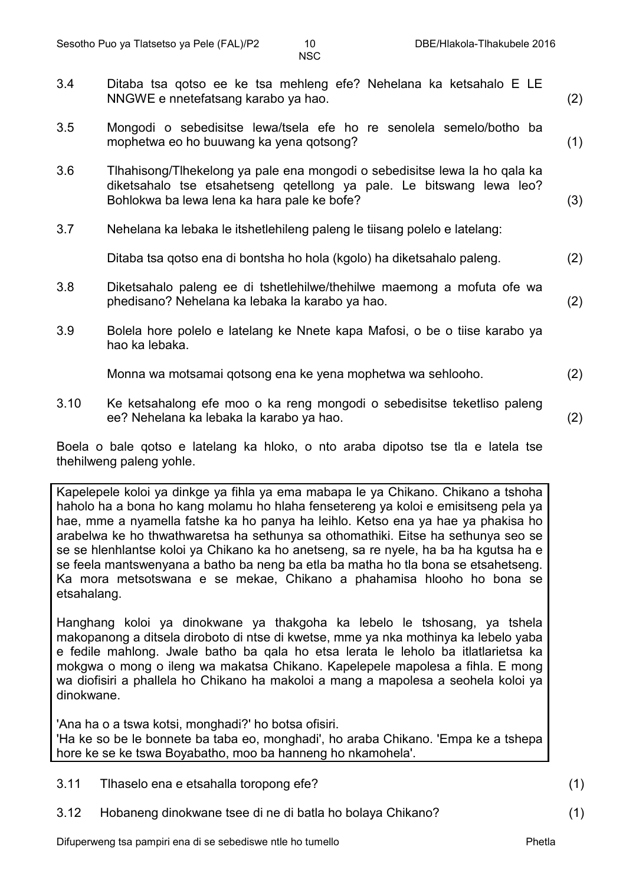- 3.4 Ditaba tsa qotso ee ke tsa mehleng efe? Nehelana ka ketsahalo E LE NNGWE e nnetefatsang karabo ya hao. (2)
- 3.5 Mongodi o sebedisitse lewa/tsela efe ho re senolela semelo/botho ba mophetwa eo ho buuwang ka yena qotsong? (1)
- 3.6 Tlhahisong/Tlhekelong ya pale ena mongodi o sebedisitse lewa la ho qala ka diketsahalo tse etsahetseng qetellong ya pale. Le bitswang lewa leo? Bohlokwa ba lewa lena ka hara pale ke bofe? (3)
- 3.7 Nehelana ka lebaka le itshetlehileng paleng le tiisang polelo e latelang:

Ditaba tsa qotso ena di bontsha ho hola (kgolo) ha diketsahalo paleng. (2)

- 3.8 Diketsahalo paleng ee di tshetlehilwe/thehilwe maemong a mofuta ofe wa phedisano? Nehelana ka lebaka la karabo ya hao. (2)
- 3.9 Bolela hore polelo e latelang ke Nnete kapa Mafosi, o be o tiise karabo ya hao ka lebaka.

Monna wa motsamai qotsong ena ke yena mophetwa wa sehlooho. (2)

3.10 Ke ketsahalong efe moo o ka reng mongodi o sebedisitse teketliso paleng ee? Nehelana ka lebaka la karabo ya hao. (2)

Boela o bale qotso e latelang ka hloko, o nto araba dipotso tse tla e latela tse thehilweng paleng yohle.

Kapelepele koloi ya dinkge ya fihla ya ema mabapa le ya Chikano. Chikano a tshoha haholo ha a bona ho kang molamu ho hlaha fensetereng ya koloi e emisitseng pela ya hae, mme a nyamella fatshe ka ho panya ha leihlo. Ketso ena ya hae ya phakisa ho arabelwa ke ho thwathwaretsa ha sethunya sa othomathiki. Eitse ha sethunya seo se se se hlenhlantse koloi ya Chikano ka ho anetseng, sa re nyele, ha ba ha kgutsa ha e se feela mantswenyana a batho ba neng ba etla ba matha ho tla bona se etsahetseng. Ka mora metsotswana e se mekae, Chikano a phahamisa hlooho ho bona se etsahalang.

Hanghang koloi ya dinokwane ya thakgoha ka lebelo le tshosang, ya tshela makopanong a ditsela diroboto di ntse di kwetse, mme ya nka mothinya ka lebelo yaba e fedile mahlong. Jwale batho ba qala ho etsa lerata le leholo ba itlatlarietsa ka mokgwa o mong o ileng wa makatsa Chikano. Kapelepele mapolesa a fihla. E mong wa diofisiri a phallela ho Chikano ha makoloi a mang a mapolesa a seohela koloi ya dinokwane.

'Ana ha o a tswa kotsi, monghadi?' ho botsa ofisiri. 'Ha ke so be le bonnete ba taba eo, monghadi', ho araba Chikano. 'Empa ke a tshepa hore ke se ke tswa Boyabatho, moo ba hanneng ho nkamohela'.

3.11 Tlhaselo ena e etsahalla toropong efe? (1)

3.12 Hobaneng dinokwane tsee di ne di batla ho bolaya Chikano? (1)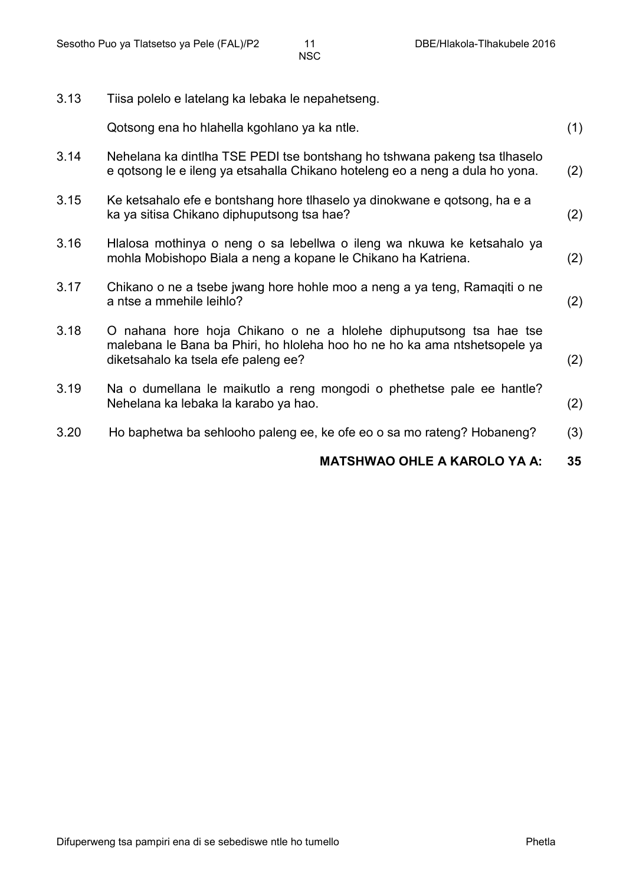| 3.13 | Tiisa polelo e latelang ka lebaka le nepahetseng.                                                                                                                                      |     |
|------|----------------------------------------------------------------------------------------------------------------------------------------------------------------------------------------|-----|
|      | Qotsong ena ho hlahella kgohlano ya ka ntle.                                                                                                                                           | (1) |
| 3.14 | Nehelana ka dintlha TSE PEDI tse bontshang ho tshwana pakeng tsa tlhaselo<br>e gotsong le e ileng ya etsahalla Chikano hoteleng eo a neng a dula ho yona.                              | (2) |
| 3.15 | Ke ketsahalo efe e bontshang hore tlhaselo ya dinokwane e qotsong, ha e a<br>ka ya sitisa Chikano diphuputsong tsa hae?                                                                | (2) |
| 3.16 | Hlalosa mothinya o neng o sa lebellwa o ileng wa nkuwa ke ketsahalo ya<br>mohla Mobishopo Biala a neng a kopane le Chikano ha Katriena.                                                | (2) |
| 3.17 | Chikano o ne a tsebe jwang hore hohle moo a neng a ya teng, Ramaqiti o ne<br>a ntse a mmehile leihlo?                                                                                  | (2) |
| 3.18 | O nahana hore hoja Chikano o ne a hlolehe diphuputsong tsa hae tse<br>malebana le Bana ba Phiri, ho hioleha hoo ho ne ho ka ama ntshetsopele ya<br>diketsahalo ka tsela efe paleng ee? | (2) |
| 3.19 | Na o dumellana le maikutio a reng mongodi o phethetse pale ee hantle?<br>Nehelana ka lebaka la karabo ya hao.                                                                          | (2) |
| 3.20 | Ho baphetwa ba sehlooho paleng ee, ke ofe eo o sa mo rateng? Hobaneng?                                                                                                                 | (3) |
|      | <b>MATSHWAO OHLE A KAROLO YA A:</b>                                                                                                                                                    | 35  |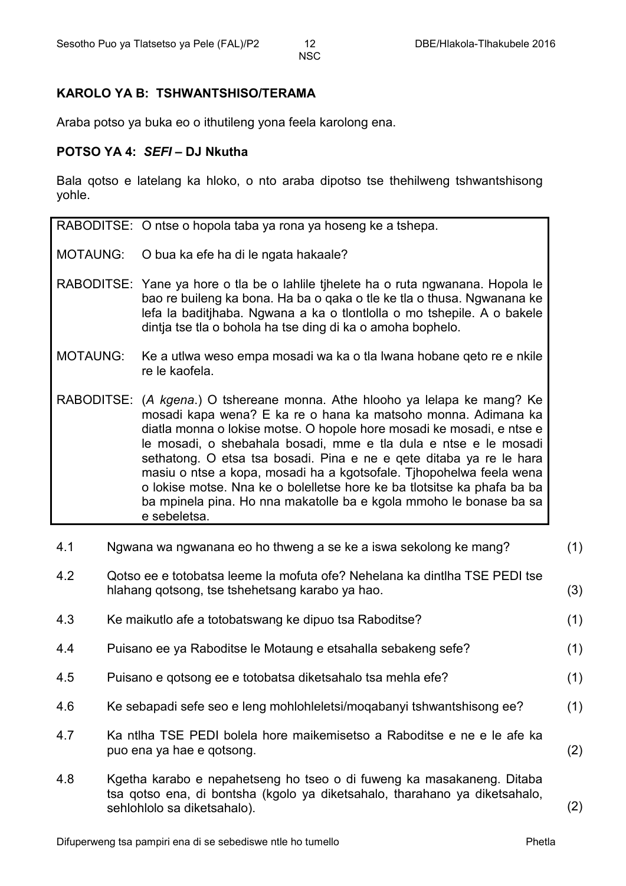#### **KAROLO YA B: TSHWANTSHISO/TERAMA**

Araba potso ya buka eo o ithutileng yona feela karolong ena.

#### **POTSO YA 4:** *SEFI* **– DJ Nkutha**

Bala qotso e latelang ka hloko, o nto araba dipotso tse thehilweng tshwantshisong yohle.

| RABODITSE: O ntse o hopola taba ya rona ya hoseng ke a tshepa. |  |  |  |  |  |
|----------------------------------------------------------------|--|--|--|--|--|
|----------------------------------------------------------------|--|--|--|--|--|

- MOTAUNG: O bua ka efe ha di le ngata hakaale?
- RABODITSE: Yane ya hore o tla be o lahlile tjhelete ha o ruta ngwanana. Hopola le bao re buileng ka bona. Ha ba o qaka o tle ke tla o thusa. Ngwanana ke lefa la baditjhaba. Ngwana a ka o tlontlolla o mo tshepile. A o bakele dintja tse tla o bohola ha tse ding di ka o amoha bophelo.
- MOTAUNG: Ke a utlwa weso empa mosadi wa ka o tla lwana hobane qeto re e nkile re le kaofela.
- RABODITSE: (*A kgena*.) O tshereane monna. Athe hlooho ya lelapa ke mang? Ke mosadi kapa wena? E ka re o hana ka matsoho monna. Adimana ka diatla monna o lokise motse. O hopole hore mosadi ke mosadi, e ntse e le mosadi, o shebahala bosadi, mme e tla dula e ntse e le mosadi sethatong. O etsa tsa bosadi. Pina e ne e qete ditaba ya re le hara masiu o ntse a kopa, mosadi ha a kgotsofale. Tjhopohelwa feela wena o lokise motse. Nna ke o bolelletse hore ke ba tlotsitse ka phafa ba ba ba mpinela pina. Ho nna makatolle ba e kgola mmoho le bonase ba sa e sebeletsa.

| 4.1 | Ngwana wa ngwanana eo ho thweng a se ke a iswa sekolong ke mang?                                                                                                                   | (1) |
|-----|------------------------------------------------------------------------------------------------------------------------------------------------------------------------------------|-----|
| 4.2 | Qotso ee e totobatsa leeme la mofuta ofe? Nehelana ka dintlha TSE PEDI tse<br>hlahang qotsong, tse tshehetsang karabo ya hao.                                                      | (3) |
| 4.3 | Ke maikutlo afe a totobatswang ke dipuo tsa Raboditse?                                                                                                                             | (1) |
| 4.4 | Puisano ee ya Raboditse le Motaung e etsahalla sebakeng sefe?                                                                                                                      | (1) |
| 4.5 | Puisano e gotsong ee e totobatsa diketsahalo tsa mehla efe?                                                                                                                        | (1) |
| 4.6 | Ke sebapadi sefe seo e leng mohlohleletsi/mogabanyi tshwantshisong ee?                                                                                                             | (1) |
| 4.7 | Ka ntlha TSE PEDI bolela hore maikemisetso a Raboditse e ne e le afe ka<br>puo ena ya hae e qotsong.                                                                               | (2) |
| 4.8 | Kgetha karabo e nepahetseng ho tseo o di fuweng ka masakaneng. Ditaba<br>tsa gotso ena, di bontsha (kgolo ya diketsahalo, tharahano ya diketsahalo,<br>sehlohlolo sa diketsahalo). | (2) |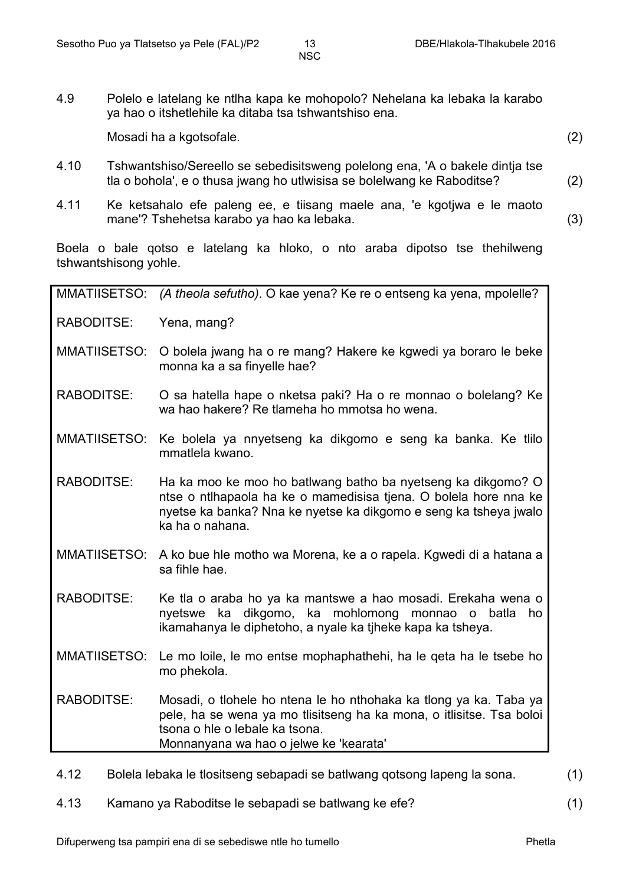4.9 Polelo e latelang ke ntlha kapa ke mohopolo? Nehelana ka lebaka la karabo ya hao o itshetlehile ka ditaba tsa tshwantshiso ena.

Mosadi ha a kgotsofale. (2)

- 4.10 Tshwantshiso/Sereello se sebedisitsweng polelong ena, 'A o bakele dintja tse tla o bohola', e o thusa jwang ho utlwisisa se bolelwang ke Raboditse? (2)
- 4.11 Ke ketsahalo efe paleng ee, e tiisang maele ana, 'e kgotjwa e le maoto mane'? Tshehetsa karabo ya hao ka lebaka. (3)

Boela o bale qotso e latelang ka hloko, o nto araba dipotso tse thehilweng tshwantshisong yohle.

| <b>MMATIISETSO:</b>                                                                     | (A theola sefutho). O kae yena? Ke re o entseng ka yena, mpolelle?                                                                                                                                                      |  |  |
|-----------------------------------------------------------------------------------------|-------------------------------------------------------------------------------------------------------------------------------------------------------------------------------------------------------------------------|--|--|
| RABODITSE:                                                                              | Yena, mang?                                                                                                                                                                                                             |  |  |
| MMATIISETSO:                                                                            | O bolela jwang ha o re mang? Hakere ke kgwedi ya boraro le beke<br>monna ka a sa finyelle hae?                                                                                                                          |  |  |
| <b>RABODITSE:</b>                                                                       | O sa hatella hape o nketsa paki? Ha o re monnao o bolelang? Ke<br>wa hao hakere? Re tlameha ho mmotsa ho wena.                                                                                                          |  |  |
| MMATIISETSO:                                                                            | Ke bolela ya nnyetseng ka dikgomo e seng ka banka. Ke tillo<br>mmatlela kwano.                                                                                                                                          |  |  |
| <b>RABODITSE:</b>                                                                       | Ha ka moo ke moo ho batlwang batho ba nyetseng ka dikgomo? O<br>ntse o ntihapaola ha ke o mamedisisa tjena. O bolela hore nna ke<br>nyetse ka banka? Nna ke nyetse ka dikgomo e seng ka tsheya jwalo<br>ka ha o nahana. |  |  |
|                                                                                         | MMATIISETSO: A ko bue hle motho wa Morena, ke a o rapela. Kgwedi di a hatana a<br>sa fihle hae.                                                                                                                         |  |  |
| RABODITSE:                                                                              | Ke tla o araba ho ya ka mantswe a hao mosadi. Erekaha wena o<br>nyetswe ka dikgomo, ka mohlomong<br>monnao o batla<br>ho<br>ikamahanya le diphetoho, a nyale ka tiheke kapa ka tsheya.                                  |  |  |
| <b>MMATIISETSO:</b>                                                                     | Le mo loile, le mo entse mophaphathehi, ha le qeta ha le tsebe ho<br>mo phekola.                                                                                                                                        |  |  |
| <b>RABODITSE:</b>                                                                       | Mosadi, o tlohele ho ntena le ho nthohaka ka tlong ya ka. Taba ya<br>pele, ha se wena ya mo tlisitseng ha ka mona, o itlisitse. Tsa boloi<br>tsona o hle o lebale ka tsona.<br>Monnanyana wa hao o jelwe ke 'kearata'   |  |  |
| Bolela lebaka le tlositseng sebapadi se batlwang qotsong lapeng la sona.<br>(1)<br>4.12 |                                                                                                                                                                                                                         |  |  |

4.13 Kamano ya Raboditse le sebapadi se batlwang ke efe? (1)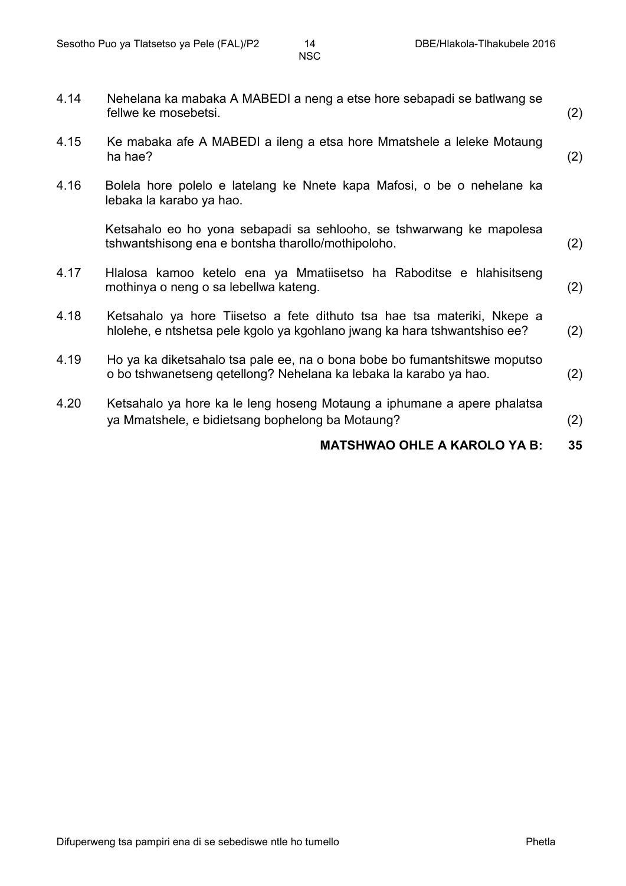|      | <b>MATSHWAO OHLE A KAROLO YA B:</b>                                                                                                                  | 35  |
|------|------------------------------------------------------------------------------------------------------------------------------------------------------|-----|
| 4.20 | Ketsahalo ya hore ka le leng hoseng Motaung a iphumane a apere phalatsa<br>ya Mmatshele, e bidietsang bophelong ba Motaung?                          | (2) |
| 4.19 | Ho ya ka diketsahalo tsa pale ee, na o bona bobe bo fumantshitswe moputso<br>o bo tshwanetseng getellong? Nehelana ka lebaka la karabo ya hao.       | (2) |
| 4.18 | Ketsahalo ya hore Tiisetso a fete dithuto tsa hae tsa materiki, Nkepe a<br>hlolehe, e ntshetsa pele kgolo ya kgohlano jwang ka hara tshwantshiso ee? | (2) |
| 4.17 | Hlalosa kamoo ketelo ena ya Mmatiisetso ha Raboditse e hlahisitseng<br>mothinya o neng o sa lebellwa kateng.                                         | (2) |
|      | Ketsahalo eo ho yona sebapadi sa sehlooho, se tshwarwang ke mapolesa<br>tshwantshisong ena e bontsha tharollo/mothipoloho.                           | (2) |
| 4.16 | Bolela hore polelo e latelang ke Nnete kapa Mafosi, o be o nehelane ka<br>lebaka la karabo ya hao.                                                   |     |
| 4.15 | Ke mabaka afe A MABEDI a ileng a etsa hore Mmatshele a leleke Motaung<br>ha hae?                                                                     | (2) |
| 4.14 | Nehelana ka mabaka A MABEDI a neng a etse hore sebapadi se batiwang se<br>fellwe ke mosebetsi.                                                       | (2) |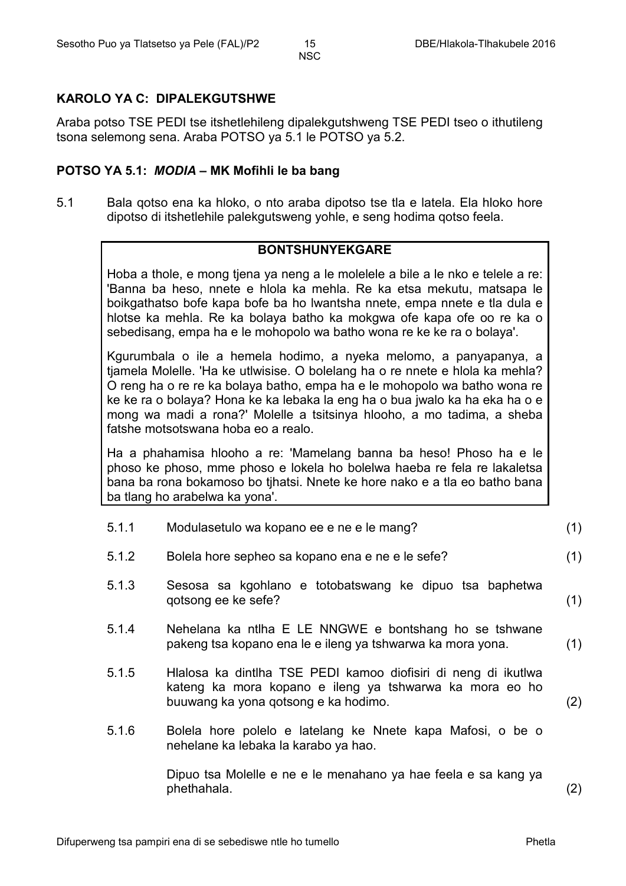#### **KAROLO YA C: DIPALEKGUTSHWE**

Araba potso TSE PEDI tse itshetlehileng dipalekgutshweng TSE PEDI tseo o ithutileng tsona selemong sena. Araba POTSO ya 5.1 le POTSO ya 5.2.

#### **POTSO YA 5.1:** *MODIA* **– MK Mofihli le ba bang**

5.1 Bala qotso ena ka hloko, o nto araba dipotso tse tla e latela. Ela hloko hore dipotso di itshetlehile palekgutsweng yohle, e seng hodima qotso feela.

#### **BONTSHUNYEKGARE**

Hoba a thole, e mong tjena ya neng a le molelele a bile a le nko e telele a re: 'Banna ba heso, nnete e hlola ka mehla. Re ka etsa mekutu, matsapa le boikgathatso bofe kapa bofe ba ho lwantsha nnete, empa nnete e tla dula e hlotse ka mehla. Re ka bolaya batho ka mokgwa ofe kapa ofe oo re ka o sebedisang, empa ha e le mohopolo wa batho wona re ke ke ra o bolaya'.

Kgurumbala o ile a hemela hodimo, a nyeka melomo, a panyapanya, a tjamela Molelle. 'Ha ke utlwisise. O bolelang ha o re nnete e hlola ka mehla? O reng ha o re re ka bolaya batho, empa ha e le mohopolo wa batho wona re ke ke ra o bolaya? Hona ke ka lebaka la eng ha o bua jwalo ka ha eka ha o e mong wa madi a rona?' Molelle a tsitsinya hlooho, a mo tadima, a sheba fatshe motsotswana hoba eo a realo.

Ha a phahamisa hlooho a re: 'Mamelang banna ba heso! Phoso ha e le phoso ke phoso, mme phoso e lokela ho bolelwa haeba re fela re lakaletsa bana ba rona bokamoso bo tjhatsi. Nnete ke hore nako e a tla eo batho bana ba tlang ho arabelwa ka yona'.

| 5.1.1 | Modulasetulo wa kopano ee e ne e le mang?                                                                                                                         | (1)               |
|-------|-------------------------------------------------------------------------------------------------------------------------------------------------------------------|-------------------|
| 5.1.2 | Bolela hore sepheo sa kopano ena e ne e le sefe?                                                                                                                  | (1)               |
| 5.1.3 | Sesosa sa kgohlano e totobatswang ke dipuo tsa baphetwa<br>qotsong ee ke sefe?                                                                                    | (1)               |
| 5.1.4 | Nehelana ka ntiha E LE NNGWE e bontshang ho se tshwane<br>pakeng tsa kopano ena le e ileng ya tshwarwa ka mora yona.                                              | (1)               |
| 5.1.5 | Hlalosa ka dintlha TSE PEDI kamoo diofisiri di neng di ikutlwa<br>kateng ka mora kopano e ileng ya tshwarwa ka mora eo ho<br>buuwang ka yona qotsong e ka hodimo. | (2)               |
| 5.1.6 | Bolela hore polelo e latelang ke Nnete kapa Mafosi, o be o<br>nehelane ka lebaka la karabo ya hao.                                                                |                   |
|       | Dipuo tsa Molelle e ne e le menahano ya hae feela e sa kang ya<br>phethahala.                                                                                     | $\left( 2\right)$ |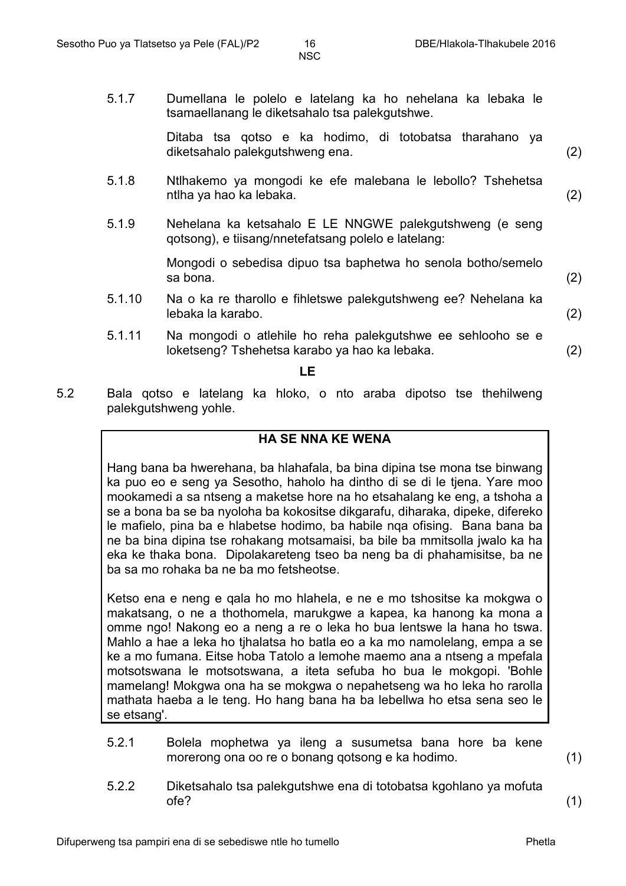5.1.7 Dumellana le polelo e latelang ka ho nehelana ka lebaka le tsamaellanang le diketsahalo tsa palekgutshwe.

> Ditaba tsa qotso e ka hodimo, di totobatsa tharahano ya diketsahalo palekgutshweng ena. (2)

- 5.1.8 Ntlhakemo ya mongodi ke efe malebana le lebollo? Tshehetsa ntlha ya hao ka lebaka. (2)
- 5.1.9 Nehelana ka ketsahalo E LE NNGWE palekgutshweng (e seng qotsong), e tiisang/nnetefatsang polelo e latelang:

Mongodi o sebedisa dipuo tsa baphetwa ho senola botho/semelo sa bona.  $(2)$ 

- 5.1.10 Na o ka re tharollo e fihletswe palekgutshweng ee? Nehelana ka lebaka la karabo. (2)
- 5.1.11 Na mongodi o atlehile ho reha palekgutshwe ee sehlooho se e loketseng? Tshehetsa karabo ya hao ka lebaka. (2)

**LE**

5.2 Bala qotso e latelang ka hloko, o nto araba dipotso tse thehilweng palekgutshweng yohle.

#### **HA SE NNA KE WENA**

Hang bana ba hwerehana, ba hlahafala, ba bina dipina tse mona tse binwang ka puo eo e seng ya Sesotho, haholo ha dintho di se di le tjena. Yare moo mookamedi a sa ntseng a maketse hore na ho etsahalang ke eng, a tshoha a se a bona ba se ba nyoloha ba kokositse dikgarafu, diharaka, dipeke, difereko le mafielo, pina ba e hlabetse hodimo, ba habile nqa ofising. Bana bana ba ne ba bina dipina tse rohakang motsamaisi, ba bile ba mmitsolla jwalo ka ha eka ke thaka bona. Dipolakareteng tseo ba neng ba di phahamisitse, ba ne ba sa mo rohaka ba ne ba mo fetsheotse.

Ketso ena e neng e qala ho mo hlahela, e ne e mo tshositse ka mokgwa o makatsang, o ne a thothomela, marukgwe a kapea, ka hanong ka mona a omme ngo! Nakong eo a neng a re o leka ho bua lentswe la hana ho tswa. Mahlo a hae a leka ho tjhalatsa ho batla eo a ka mo namolelang, empa a se ke a mo fumana. Eitse hoba Tatolo a lemohe maemo ana a ntseng a mpefala motsotswana le motsotswana, a iteta sefuba ho bua le mokgopi. 'Bohle mamelang! Mokgwa ona ha se mokgwa o nepahetseng wa ho leka ho rarolla mathata haeba a le teng. Ho hang bana ha ba lebellwa ho etsa sena seo le se etsang'.

5.2.1 Bolela mophetwa ya ileng a susumetsa bana hore ba kene morerong ona oo re o bonang qotsong e ka hodimo. (1)

5.2.2 Diketsahalo tsa palekgutshwe ena di totobatsa kgohlano ya mofuta ofe? (1)

Difuperweng tsa pampiri ena di se sebediswe ntle ho tumello Phetla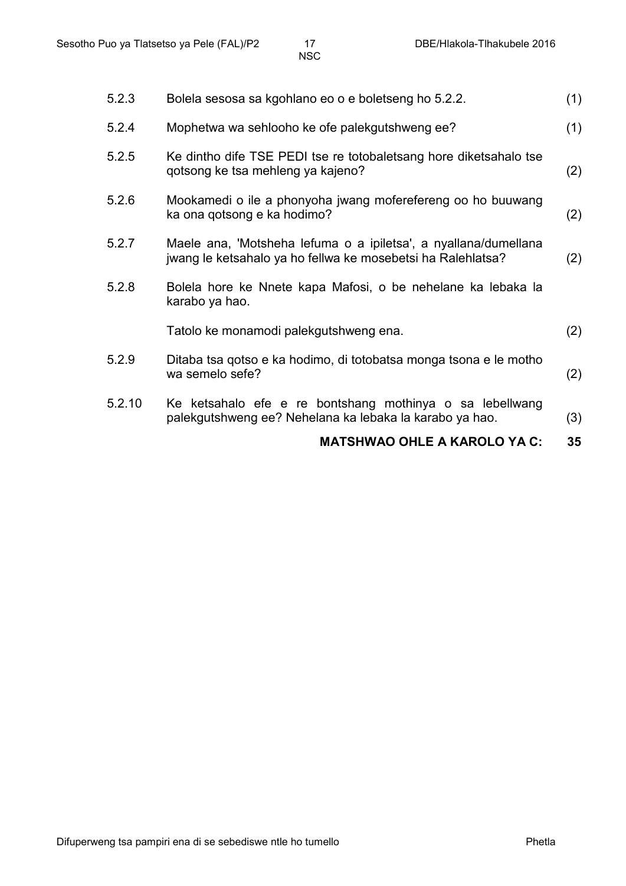| 5.2.3  | Bolela sesosa sa kgohlano eo o e boletseng ho 5.2.2.                                                                           | (1) |
|--------|--------------------------------------------------------------------------------------------------------------------------------|-----|
| 5.2.4  | Mophetwa wa sehlooho ke ofe palekgutshweng ee?                                                                                 | (1) |
| 5.2.5  | Ke dintho dife TSE PEDI tse re totobaletsang hore diketsahalo tse<br>gotsong ke tsa mehleng ya kajeno?                         | (2) |
| 5.2.6  | Mookamedi o ile a phonyoha jwang moferefereng oo ho buuwang<br>ka ona qotsong e ka hodimo?                                     | (2) |
| 5.2.7  | Maele ana, 'Motsheha lefuma o a ipiletsa', a nyallana/dumellana<br>jwang le ketsahalo ya ho fellwa ke mosebetsi ha Ralehlatsa? | (2) |
| 5.2.8  | Bolela hore ke Nnete kapa Mafosi, o be nehelane ka lebaka la<br>karabo ya hao.                                                 |     |
|        | Tatolo ke monamodi palekgutshweng ena.                                                                                         | (2) |
| 5.2.9  | Ditaba tsa gotso e ka hodimo, di totobatsa monga tsona e le motho<br>wa semelo sefe?                                           | (2) |
| 5.2.10 | Ke ketsahalo efe e re bontshang mothinya o sa lebellwang<br>palekgutshweng ee? Nehelana ka lebaka la karabo ya hao.            | (3) |
|        | <b>MATSHWAO OHLE A KAROLO YA C:</b>                                                                                            | 35  |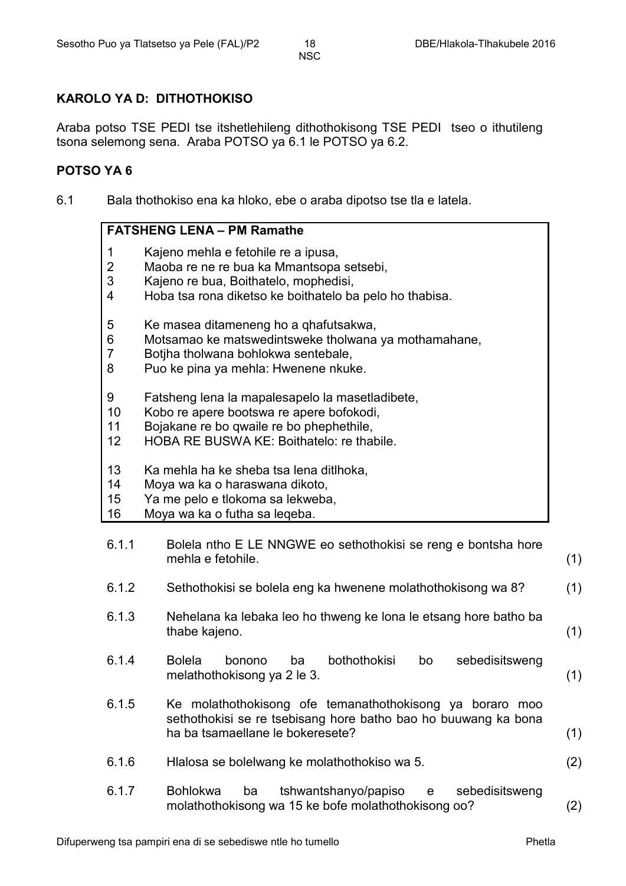#### **KAROLO YA D: DITHOTHOKISO**

Araba potso TSE PEDI tse itshetlehileng dithothokisong TSE PEDI tseo o ithutileng tsona selemong sena. Araba POTSO ya 6.1 le POTSO ya 6.2.

#### **POTSO YA 6**

6.1 Bala thothokiso ena ka hloko, ebe o araba dipotso tse tla e latela.

#### **FATSHENG LENA – PM Ramathe**

- 1 Kajeno mehla e fetohile re a ipusa,
- 2 Maoba re ne re bua ka Mmantsopa setsebi,
- 3 Kajeno re bua, Boithatelo, mophedisi,
- 4 Hoba tsa rona diketso ke boithatelo ba pelo ho thabisa.
- 5 Ke masea ditameneng ho a qhafutsakwa,
- 6 Motsamao ke matswedintsweke tholwana ya mothamahane,
- 7 Botjha tholwana bohlokwa sentebale,
- 8 Puo ke pina ya mehla: Hwenene nkuke.
- 9 Fatsheng lena la mapalesapelo la masetladibete,
- 10 Kobo re apere bootswa re apere bofokodi,
- 11 Bojakane re bo qwaile re bo phephethile,
- 12 HOBA RE BUSWA KE: Boithatelo: re thabile.
- 13 Ka mehla ha ke sheba tsa lena ditlhoka,
- 14 Moya wa ka o haraswana dikoto,
- 15 Ya me pelo e tlokoma sa lekweba,
- 16 Moya wa ka o futha sa leqeba.
- 6.1.1 Bolela ntho E LE NNGWE eo sethothokisi se reng e bontsha hore mehla e fetohile. (1)
- 6.1.2 Sethothokisi se bolela eng ka hwenene molathothokisong wa 8? (1)
- 6.1.3 Nehelana ka lebaka leo ho thweng ke lona le etsang hore batho ba thabe kajeno. (1)
- 6.1.4 Bolela bonono ba bothothokisi bo sebedisitsweng melathothokisong ya 2 le 3. (1)
- 6.1.5 Ke molathothokisong ofe temanathothokisong ya boraro moo sethothokisi se re tsebisang hore batho bao ho buuwang ka bona ha ba tsamaellane le bokeresete? (1)
- 6.1.6 Hlalosa se bolelwang ke molathothokiso wa 5. (2)
- 6.1.7 Bohlokwa ba tshwantshanyo/papiso e sebedisitsweng molathothokisong wa 15 ke bofe molathothokisong oo? (2)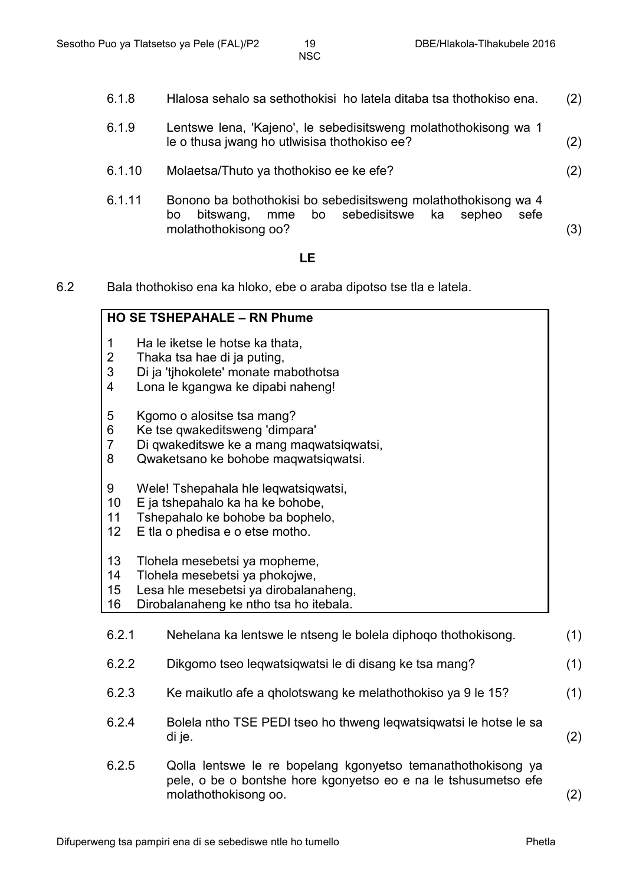6.1.8

6.1.9

le o thusa jwang ho utlwisisa thothokiso ee?

(2)

(2)

Hlalosa sehalo sa sethothokisi ho latela ditaba tsa thothokiso ena.

Lentswe lena, 'Kajeno', le sebedisitsweng molathothokisong wa 1

Difuperweng tsa pampiri ena di se sebediswe ntle ho tumello Phetla 6.1.10 6.1.11 Molaetsa/Thuto ya thothokiso ee ke efe? Bonono ba bothothokisi bo sebedisitsweng molathothokisong wa 4 bo bitswang, mme bo sebedisitswe ka sepheo sefe molathothokisong oo? (2) (3) **LE** 6.2 Bala thothokiso ena ka hloko, ebe o araba dipotso tse tla e latela. **HO SE TSHEPAHALE – RN Phume** 1 2 3 4 5 6 7 8 9 10 11 12 13 14 15 16 Ha le iketse le hotse ka thata, Thaka tsa hae di ja puting, Di ja 'tjhokolete' monate mabothotsa Lona le kgangwa ke dipabi naheng! Kgomo o alositse tsa mang? Ke tse qwakeditsweng 'dimpara' Di qwakeditswe ke a mang maqwatsiqwatsi, Qwaketsano ke bohobe maqwatsiqwatsi. Wele! Tshepahala hle leqwatsiqwatsi, E ja tshepahalo ka ha ke bohobe, Tshepahalo ke bohobe ba bophelo, E tla o phedisa e o etse motho. Tlohela mesebetsi ya mopheme, Tlohela mesebetsi ya phokojwe, Lesa hle mesebetsi ya dirobalanaheng, Dirobalanaheng ke ntho tsa ho itebala. 6.2.1 6.22 6.2.3 Nehelana ka lentswe le ntseng le bolela diphoqo thothokisong. Dikgomo tseo leqwatsiqwatsi le di disang ke tsa mang? Ke maikutlo afe a qholotswang ke melathothokiso ya 9 le 15? (1) (1) (1) 6.2.4 Bolela ntho TSE PEDI tseo ho thweng leqwatsiqwatsi le hotse le sa di je. (2) 6.2.5 Qolla lentswe le re bopelang kgonyetso temanathothokisong ya pele, o be o bontshe hore kgonyetso eo e na le tshusumetso efe molathothokisong oo. (2)